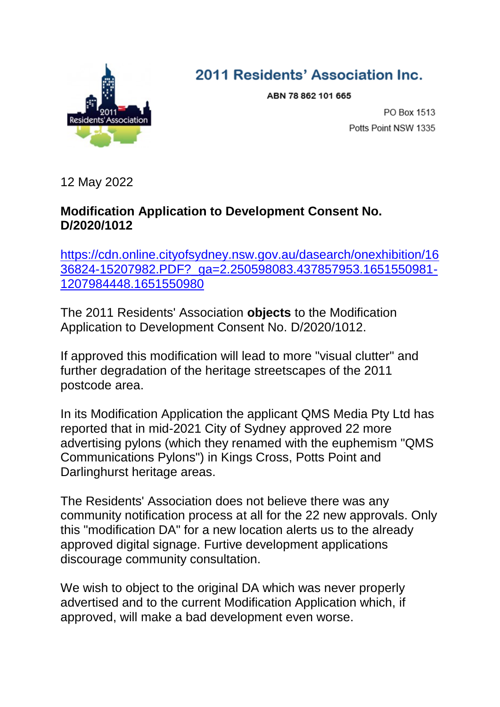

## 2011 Residents' Association Inc.

ABN 78 862 101 665

PO Box 1513 Potts Point NSW 1335

12 May 2022

## **Modification Application to Development Consent No. D/2020/1012**

[https://cdn.online.cityofsydney.nsw.gov.au/dasearch/onexhibition/16](https://cdn.online.cityofsydney.nsw.gov.au/dasearch/onexhibition/1636824-15207982.PDF?_ga=2.250598083.437857953.1651550981-1207984448.1651550980) [36824-15207982.PDF?\\_ga=2.250598083.437857953.1651550981-](https://cdn.online.cityofsydney.nsw.gov.au/dasearch/onexhibition/1636824-15207982.PDF?_ga=2.250598083.437857953.1651550981-1207984448.1651550980) [1207984448.1651550980](https://cdn.online.cityofsydney.nsw.gov.au/dasearch/onexhibition/1636824-15207982.PDF?_ga=2.250598083.437857953.1651550981-1207984448.1651550980)

The 2011 Residents' Association **objects** to the Modification Application to Development Consent No. D/2020/1012.

If approved this modification will lead to more "visual clutter" and further degradation of the heritage streetscapes of the 2011 postcode area.

In its Modification Application the applicant QMS Media Pty Ltd has reported that in mid-2021 City of Sydney approved 22 more advertising pylons (which they renamed with the euphemism "QMS Communications Pylons") in Kings Cross, Potts Point and Darlinghurst heritage areas.

The Residents' Association does not believe there was any community notification process at all for the 22 new approvals. Only this "modification DA" for a new location alerts us to the already approved digital signage. Furtive development applications discourage community consultation.

We wish to object to the original DA which was never properly advertised and to the current Modification Application which, if approved, will make a bad development even worse.